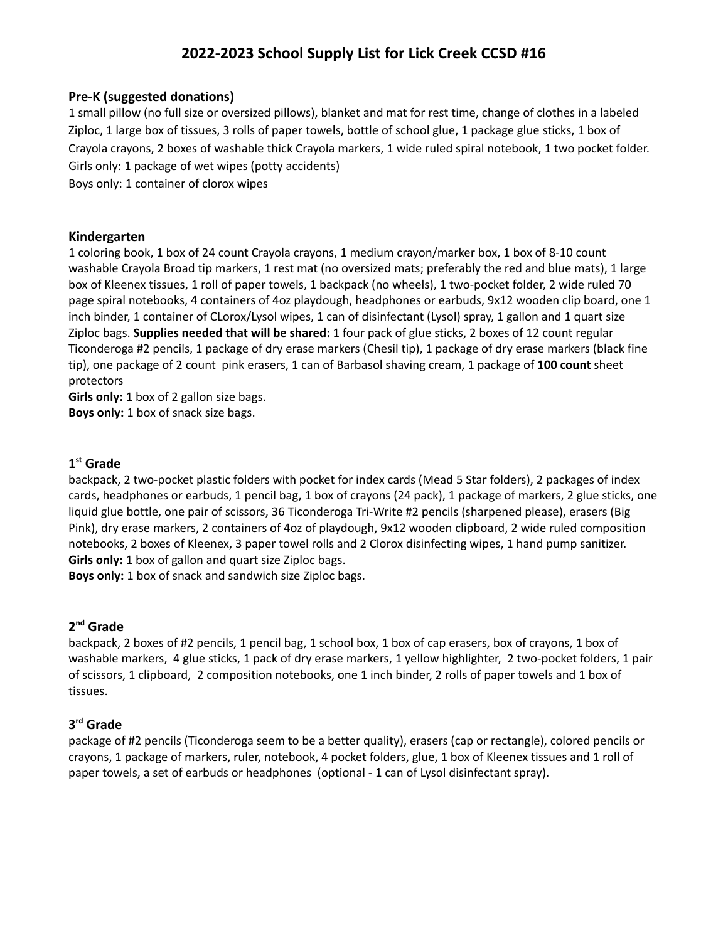# **2022-2023 School Supply List for Lick Creek CCSD #16**

#### **Pre-K (suggested donations)**

1 small pillow (no full size or oversized pillows), blanket and mat for rest time, change of clothes in a labeled Ziploc, 1 large box of tissues, 3 rolls of paper towels, bottle of school glue, 1 package glue sticks, 1 box of Crayola crayons, 2 boxes of washable thick Crayola markers, 1 wide ruled spiral notebook, 1 two pocket folder. Girls only: 1 package of wet wipes (potty accidents)

Boys only: 1 container of clorox wipes

#### **Kindergarten**

1 coloring book, 1 box of 24 count Crayola crayons, 1 medium crayon/marker box, 1 box of 8-10 count washable Crayola Broad tip markers, 1 rest mat (no oversized mats; preferably the red and blue mats), 1 large box of Kleenex tissues, 1 roll of paper towels, 1 backpack (no wheels), 1 two-pocket folder, 2 wide ruled 70 page spiral notebooks, 4 containers of 4oz playdough, headphones or earbuds, 9x12 wooden clip board, one 1 inch binder, 1 container of CLorox/Lysol wipes, 1 can of disinfectant (Lysol) spray, 1 gallon and 1 quart size Ziploc bags. **Supplies needed that will be shared:** 1 four pack of glue sticks, 2 boxes of 12 count regular Ticonderoga #2 pencils, 1 package of dry erase markers (Chesil tip), 1 package of dry erase markers (black fine tip), one package of 2 count pink erasers, 1 can of Barbasol shaving cream, 1 package of **100 count** sheet protectors

**Girls only:** 1 box of 2 gallon size bags.

**Boys only:** 1 box of snack size bags.

#### **1 st Grade**

backpack, 2 two-pocket plastic folders with pocket for index cards (Mead 5 Star folders), 2 packages of index cards, headphones or earbuds, 1 pencil bag, 1 box of crayons (24 pack), 1 package of markers, 2 glue sticks, one liquid glue bottle, one pair of scissors, 36 Ticonderoga Tri-Write #2 pencils (sharpened please), erasers (Big Pink), dry erase markers, 2 containers of 4oz of playdough, 9x12 wooden clipboard, 2 wide ruled composition notebooks, 2 boxes of Kleenex, 3 paper towel rolls and 2 Clorox disinfecting wipes, 1 hand pump sanitizer. **Girls only:** 1 box of gallon and quart size Ziploc bags.

**Boys only:** 1 box of snack and sandwich size Ziploc bags.

# **2 nd Grade**

backpack, 2 boxes of #2 pencils, 1 pencil bag, 1 school box, 1 box of cap erasers, box of crayons, 1 box of washable markers, 4 glue sticks, 1 pack of dry erase markers, 1 yellow highlighter, 2 two-pocket folders, 1 pair of scissors, 1 clipboard, 2 composition notebooks, one 1 inch binder, 2 rolls of paper towels and 1 box of tissues.

# **3 rd Grade**

package of #2 pencils (Ticonderoga seem to be a better quality), erasers (cap or rectangle), colored pencils or crayons, 1 package of markers, ruler, notebook, 4 pocket folders, glue, 1 box of Kleenex tissues and 1 roll of paper towels, a set of earbuds or headphones (optional - 1 can of Lysol disinfectant spray).